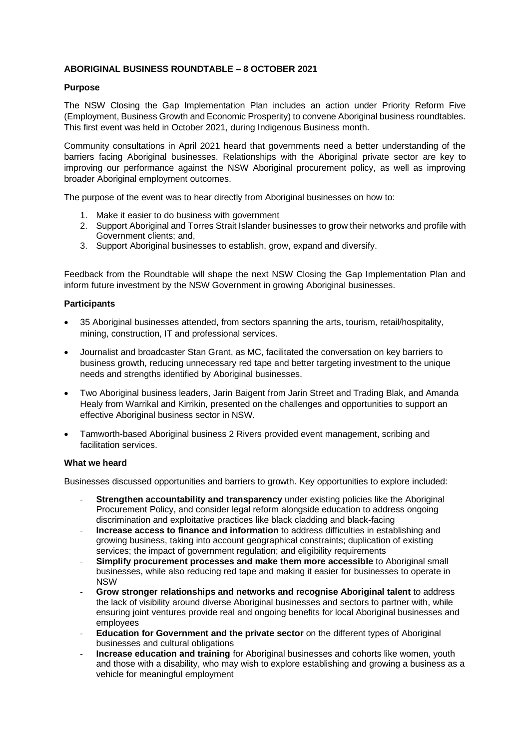# **ABORIGINAL BUSINESS ROUNDTABLE – 8 OCTOBER 2021**

## **Purpose**

The NSW Closing the Gap Implementation Plan includes an action under Priority Reform Five (Employment, Business Growth and Economic Prosperity) to convene Aboriginal business roundtables. This first event was held in October 2021, during Indigenous Business month.

Community consultations in April 2021 heard that governments need a better understanding of the barriers facing Aboriginal businesses. Relationships with the Aboriginal private sector are key to improving our performance against the NSW Aboriginal procurement policy, as well as improving broader Aboriginal employment outcomes.

The purpose of the event was to hear directly from Aboriginal businesses on how to:

- 1. Make it easier to do business with government
- 2. Support Aboriginal and Torres Strait Islander businesses to grow their networks and profile with Government clients; and,
- 3. Support Aboriginal businesses to establish, grow, expand and diversify.

Feedback from the Roundtable will shape the next NSW Closing the Gap Implementation Plan and inform future investment by the NSW Government in growing Aboriginal businesses.

## **Participants**

- 35 Aboriginal businesses attended, from sectors spanning the arts, tourism, retail/hospitality, mining, construction, IT and professional services.
- Journalist and broadcaster Stan Grant, as MC, facilitated the conversation on key barriers to business growth, reducing unnecessary red tape and better targeting investment to the unique needs and strengths identified by Aboriginal businesses.
- Two Aboriginal business leaders, Jarin Baigent from Jarin Street and Trading Blak, and Amanda Healy from Warrikal and Kirrikin, presented on the challenges and opportunities to support an effective Aboriginal business sector in NSW.
- Tamworth-based Aboriginal business 2 Rivers provided event management, scribing and facilitation services.

#### **What we heard**

Businesses discussed opportunities and barriers to growth. Key opportunities to explore included:

- **Strengthen accountability and transparency** under existing policies like the Aboriginal Procurement Policy, and consider legal reform alongside education to address ongoing discrimination and exploitative practices like black cladding and black-facing
- **Increase access to finance and information** to address difficulties in establishing and growing business, taking into account geographical constraints; duplication of existing services; the impact of government regulation; and eligibility requirements
- **Simplify procurement processes and make them more accessible** to Aboriginal small businesses, while also reducing red tape and making it easier for businesses to operate in NSW
- **Grow stronger relationships and networks and recognise Aboriginal talent** to address the lack of visibility around diverse Aboriginal businesses and sectors to partner with, while ensuring joint ventures provide real and ongoing benefits for local Aboriginal businesses and employees
- **Education for Government and the private sector** on the different types of Aboriginal businesses and cultural obligations
- **Increase education and training** for Aboriginal businesses and cohorts like women, youth and those with a disability, who may wish to explore establishing and growing a business as a vehicle for meaningful employment